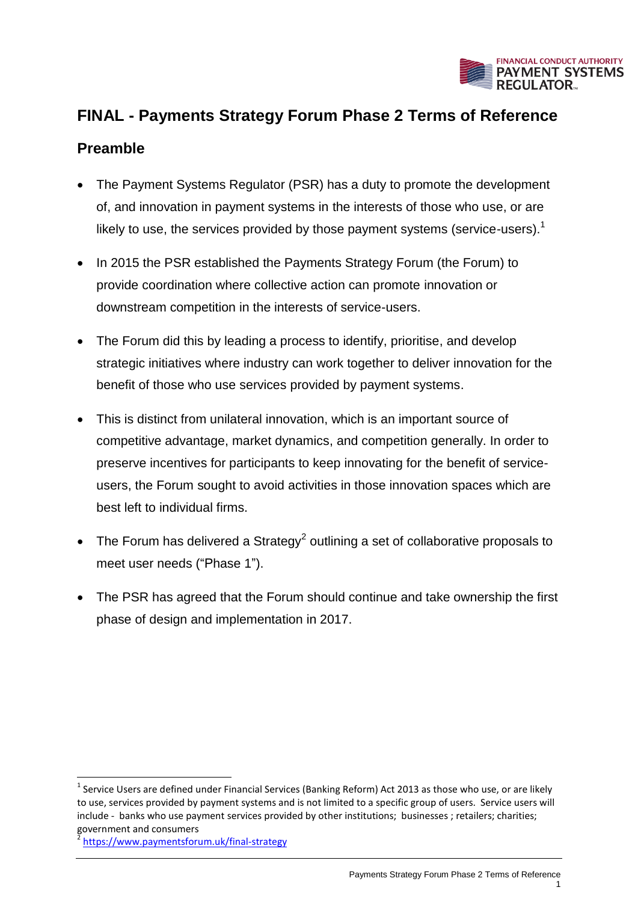

# **FINAL - Payments Strategy Forum Phase 2 Terms of Reference**

#### **Preamble**

- The Payment Systems Regulator (PSR) has a duty to promote the development of, and innovation in payment systems in the interests of those who use, or are likely to use, the services provided by those payment systems (service-users). $<sup>1</sup>$ </sup>
- In 2015 the PSR established the Payments Strategy Forum (the Forum) to provide coordination where collective action can promote innovation or downstream competition in the interests of service-users.
- The Forum did this by leading a process to identify, prioritise, and develop strategic initiatives where industry can work together to deliver innovation for the benefit of those who use services provided by payment systems.
- This is distinct from unilateral innovation, which is an important source of competitive advantage, market dynamics, and competition generally. In order to preserve incentives for participants to keep innovating for the benefit of serviceusers, the Forum sought to avoid activities in those innovation spaces which are best left to individual firms.
- The Forum has delivered a Strategy<sup>2</sup> outlining a set of collaborative proposals to meet user needs ("Phase 1").
- The PSR has agreed that the Forum should continue and take ownership the first phase of design and implementation in 2017.

**.** 

<sup>&</sup>lt;sup>1</sup> Service Users are defined under Financial Services (Banking Reform) Act 2013 as those who use, or are likely to use, services provided by payment systems and is not limited to a specific group of users. Service users will include - banks who use payment services provided by other institutions; businesses ; retailers; charities; government and consumers

<sup>2</sup> <https://www.paymentsforum.uk/final-strategy>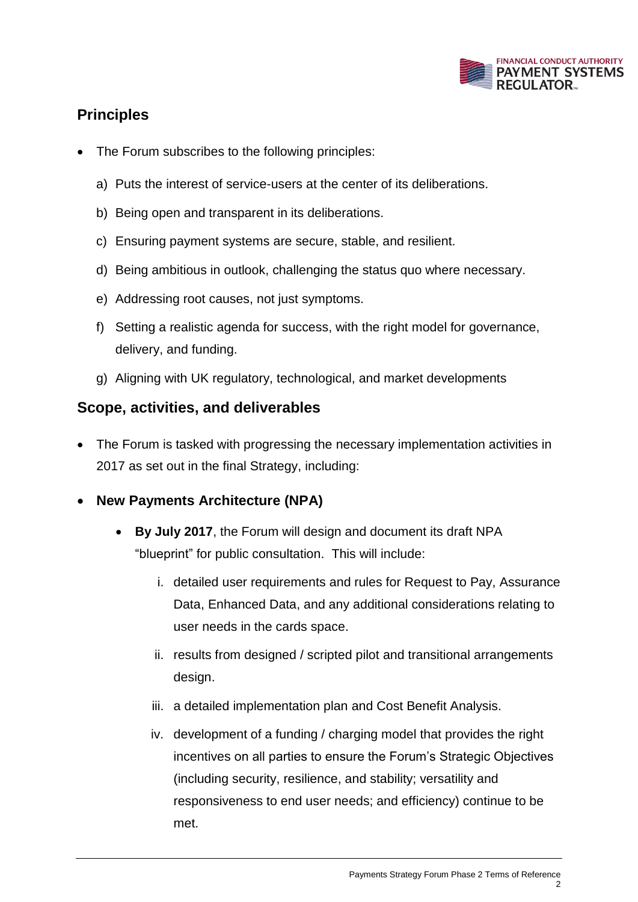

## **Principles**

- The Forum subscribes to the following principles:
	- a) Puts the interest of service-users at the center of its deliberations.
	- b) Being open and transparent in its deliberations.
	- c) Ensuring payment systems are secure, stable, and resilient.
	- d) Being ambitious in outlook, challenging the status quo where necessary.
	- e) Addressing root causes, not just symptoms.
	- f) Setting a realistic agenda for success, with the right model for governance, delivery, and funding.
	- g) Aligning with UK regulatory, technological, and market developments

#### **Scope, activities, and deliverables**

- The Forum is tasked with progressing the necessary implementation activities in 2017 as set out in the final Strategy, including:
- **New Payments Architecture (NPA)**
	- **By July 2017**, the Forum will design and document its draft NPA "blueprint" for public consultation. This will include:
		- i. detailed user requirements and rules for Request to Pay, Assurance Data, Enhanced Data, and any additional considerations relating to user needs in the cards space.
		- ii. results from designed / scripted pilot and transitional arrangements design.
		- iii. a detailed implementation plan and Cost Benefit Analysis.
		- iv. development of a funding / charging model that provides the right incentives on all parties to ensure the Forum's Strategic Objectives (including security, resilience, and stability; versatility and responsiveness to end user needs; and efficiency) continue to be met.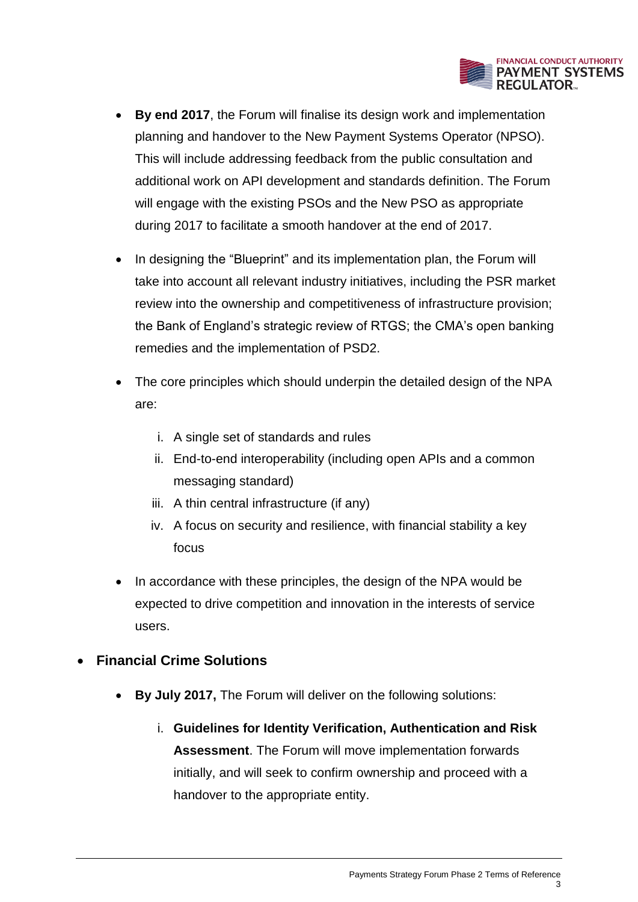

- **By end 2017**, the Forum will finalise its design work and implementation planning and handover to the New Payment Systems Operator (NPSO). This will include addressing feedback from the public consultation and additional work on API development and standards definition. The Forum will engage with the existing PSOs and the New PSO as appropriate during 2017 to facilitate a smooth handover at the end of 2017.
- In designing the "Blueprint" and its implementation plan, the Forum will take into account all relevant industry initiatives, including the PSR market review into the ownership and competitiveness of infrastructure provision; the Bank of England's strategic review of RTGS; the CMA's open banking remedies and the implementation of PSD2.
- The core principles which should underpin the detailed design of the NPA are:
	- i. A single set of standards and rules
	- ii. End-to-end interoperability (including open APIs and a common messaging standard)
	- iii. A thin central infrastructure (if any)
	- iv. A focus on security and resilience, with financial stability a key focus
- In accordance with these principles, the design of the NPA would be expected to drive competition and innovation in the interests of service users.

#### **Financial Crime Solutions**

- **By July 2017,** The Forum will deliver on the following solutions:
	- i. **Guidelines for Identity Verification, Authentication and Risk Assessment**. The Forum will move implementation forwards initially, and will seek to confirm ownership and proceed with a handover to the appropriate entity.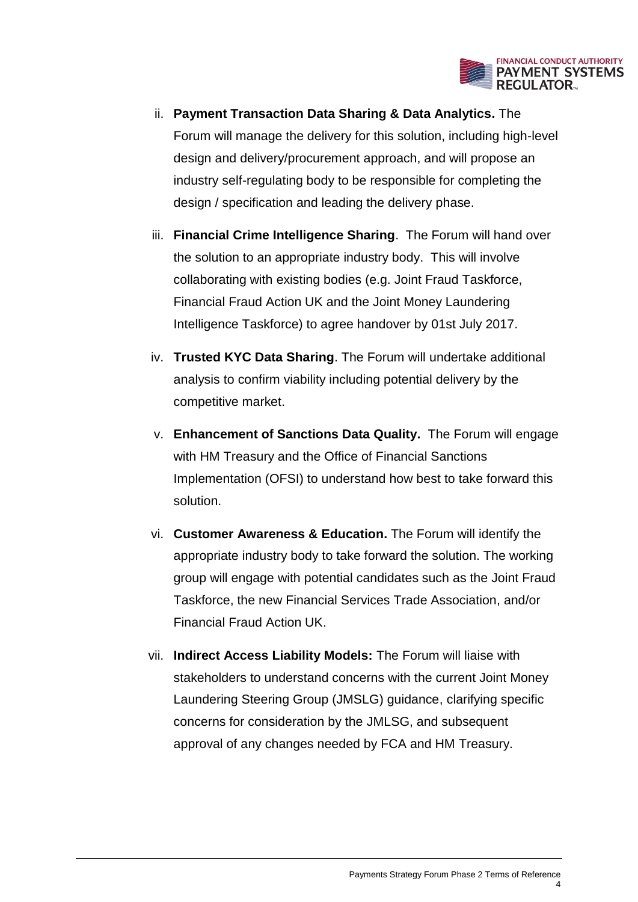

- ii. **Payment Transaction Data Sharing & Data Analytics.** The Forum will manage the delivery for this solution, including high-level design and delivery/procurement approach, and will propose an industry self-regulating body to be responsible for completing the design / specification and leading the delivery phase.
- iii. **Financial Crime Intelligence Sharing**. The Forum will hand over the solution to an appropriate industry body. This will involve collaborating with existing bodies (e.g. Joint Fraud Taskforce, Financial Fraud Action UK and the Joint Money Laundering Intelligence Taskforce) to agree handover by 01st July 2017.
- iv. **Trusted KYC Data Sharing**. The Forum will undertake additional analysis to confirm viability including potential delivery by the competitive market.
- v. **Enhancement of Sanctions Data Quality.** The Forum will engage with HM Treasury and the Office of Financial Sanctions Implementation (OFSI) to understand how best to take forward this solution.
- vi. **Customer Awareness & Education.** The Forum will identify the appropriate industry body to take forward the solution. The working group will engage with potential candidates such as the Joint Fraud Taskforce, the new Financial Services Trade Association, and/or Financial Fraud Action UK.
- vii. **Indirect Access Liability Models:** The Forum will liaise with stakeholders to understand concerns with the current Joint Money Laundering Steering Group (JMSLG) guidance, clarifying specific concerns for consideration by the JMLSG, and subsequent approval of any changes needed by FCA and HM Treasury.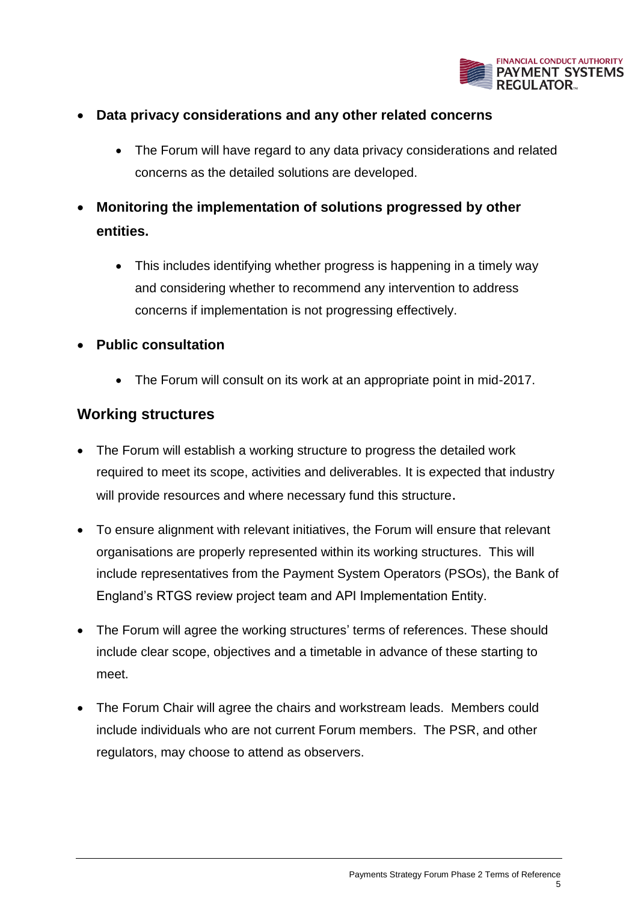

- **Data privacy considerations and any other related concerns**
	- The Forum will have regard to any data privacy considerations and related concerns as the detailed solutions are developed.
- **Monitoring the implementation of solutions progressed by other entities.**
	- This includes identifying whether progress is happening in a timely way and considering whether to recommend any intervention to address concerns if implementation is not progressing effectively.
- **Public consultation**
	- The Forum will consult on its work at an appropriate point in mid-2017.

#### **Working structures**

- The Forum will establish a working structure to progress the detailed work required to meet its scope, activities and deliverables. It is expected that industry will provide resources and where necessary fund this structure.
- To ensure alignment with relevant initiatives, the Forum will ensure that relevant organisations are properly represented within its working structures. This will include representatives from the Payment System Operators (PSOs), the Bank of England's RTGS review project team and API Implementation Entity.
- The Forum will agree the working structures' terms of references. These should include clear scope, objectives and a timetable in advance of these starting to meet.
- The Forum Chair will agree the chairs and workstream leads. Members could include individuals who are not current Forum members. The PSR, and other regulators, may choose to attend as observers.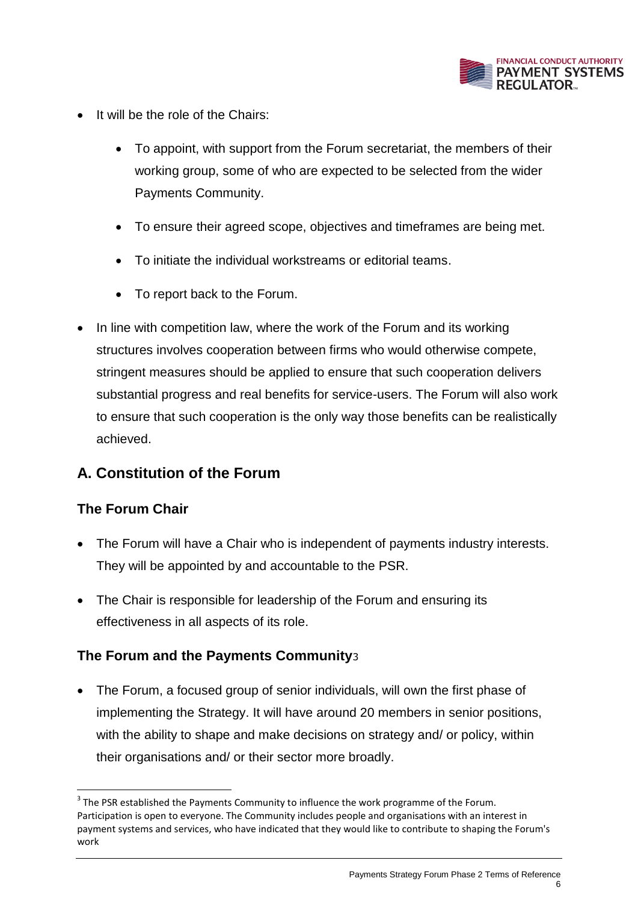

- It will be the role of the Chairs:
	- To appoint, with support from the Forum secretariat, the members of their working group, some of who are expected to be selected from the wider Payments Community.
	- To ensure their agreed scope, objectives and timeframes are being met.
	- To initiate the individual workstreams or editorial teams.
	- To report back to the Forum.
- In line with competition law, where the work of the Forum and its working structures involves cooperation between firms who would otherwise compete, stringent measures should be applied to ensure that such cooperation delivers substantial progress and real benefits for service-users. The Forum will also work to ensure that such cooperation is the only way those benefits can be realistically achieved.

## **A. Constitution of the Forum**

#### **The Forum Chair**

**.** 

- The Forum will have a Chair who is independent of payments industry interests. They will be appointed by and accountable to the PSR.
- The Chair is responsible for leadership of the Forum and ensuring its effectiveness in all aspects of its role.

#### **The Forum and the Payments Community**<sup>3</sup>

 The Forum, a focused group of senior individuals, will own the first phase of implementing the Strategy. It will have around 20 members in senior positions, with the ability to shape and make decisions on strategy and/ or policy, within their organisations and/ or their sector more broadly.

 $3$  The PSR established the Payments Community to influence the work programme of the Forum. Participation is open to everyone. The Community includes people and organisations with an interest in payment systems and services, who have indicated that they would like to contribute to shaping the Forum's work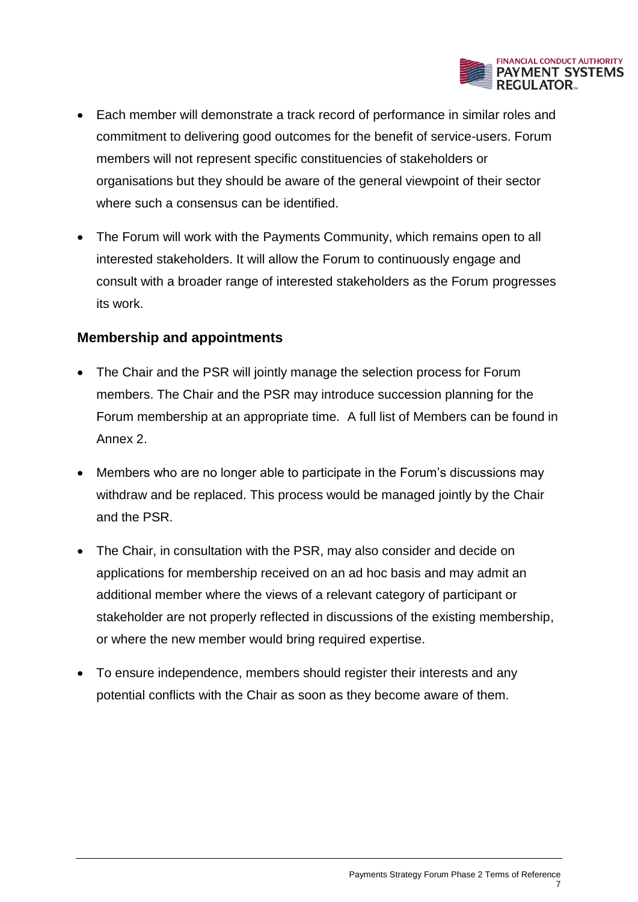

- Each member will demonstrate a track record of performance in similar roles and commitment to delivering good outcomes for the benefit of service-users. Forum members will not represent specific constituencies of stakeholders or organisations but they should be aware of the general viewpoint of their sector where such a consensus can be identified.
- The Forum will work with the Payments Community, which remains open to all interested stakeholders. It will allow the Forum to continuously engage and consult with a broader range of interested stakeholders as the Forum progresses its work.

#### **Membership and appointments**

- The Chair and the PSR will jointly manage the selection process for Forum members. The Chair and the PSR may introduce succession planning for the Forum membership at an appropriate time. A full list of Members can be found in Annex 2.
- Members who are no longer able to participate in the Forum's discussions may withdraw and be replaced. This process would be managed jointly by the Chair and the PSR.
- The Chair, in consultation with the PSR, may also consider and decide on applications for membership received on an ad hoc basis and may admit an additional member where the views of a relevant category of participant or stakeholder are not properly reflected in discussions of the existing membership, or where the new member would bring required expertise.
- To ensure independence, members should register their interests and any potential conflicts with the Chair as soon as they become aware of them.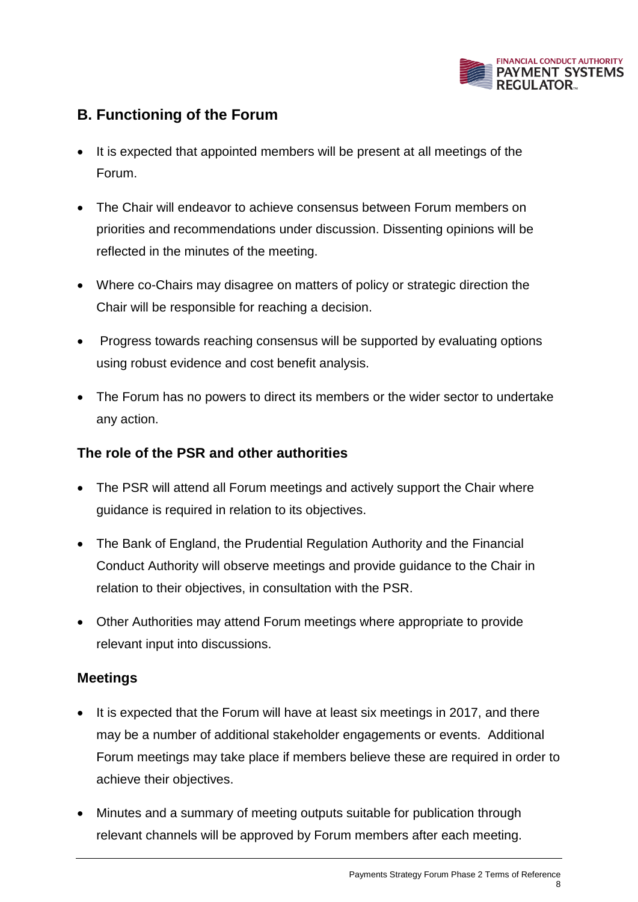

## **B. Functioning of the Forum**

- It is expected that appointed members will be present at all meetings of the Forum.
- The Chair will endeavor to achieve consensus between Forum members on priorities and recommendations under discussion. Dissenting opinions will be reflected in the minutes of the meeting.
- Where co-Chairs may disagree on matters of policy or strategic direction the Chair will be responsible for reaching a decision.
- Progress towards reaching consensus will be supported by evaluating options using robust evidence and cost benefit analysis.
- The Forum has no powers to direct its members or the wider sector to undertake any action.

#### **The role of the PSR and other authorities**

- The PSR will attend all Forum meetings and actively support the Chair where guidance is required in relation to its objectives.
- The Bank of England, the Prudential Regulation Authority and the Financial Conduct Authority will observe meetings and provide guidance to the Chair in relation to their objectives, in consultation with the PSR.
- Other Authorities may attend Forum meetings where appropriate to provide relevant input into discussions.

#### **Meetings**

- It is expected that the Forum will have at least six meetings in 2017, and there may be a number of additional stakeholder engagements or events. Additional Forum meetings may take place if members believe these are required in order to achieve their objectives.
- Minutes and a summary of meeting outputs suitable for publication through relevant channels will be approved by Forum members after each meeting.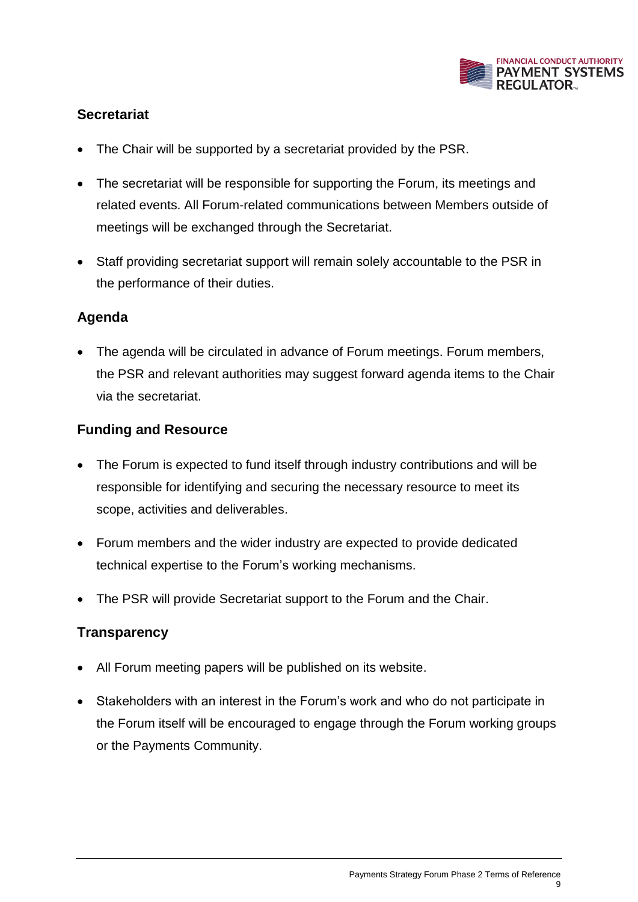

#### **Secretariat**

- The Chair will be supported by a secretariat provided by the PSR.
- The secretariat will be responsible for supporting the Forum, its meetings and related events. All Forum-related communications between Members outside of meetings will be exchanged through the Secretariat.
- Staff providing secretariat support will remain solely accountable to the PSR in the performance of their duties.

#### **Agenda**

 The agenda will be circulated in advance of Forum meetings. Forum members, the PSR and relevant authorities may suggest forward agenda items to the Chair via the secretariat.

#### **Funding and Resource**

- The Forum is expected to fund itself through industry contributions and will be responsible for identifying and securing the necessary resource to meet its scope, activities and deliverables.
- Forum members and the wider industry are expected to provide dedicated technical expertise to the Forum's working mechanisms.
- The PSR will provide Secretariat support to the Forum and the Chair.

#### **Transparency**

- All Forum meeting papers will be published on its website.
- Stakeholders with an interest in the Forum's work and who do not participate in the Forum itself will be encouraged to engage through the Forum working groups or the Payments Community.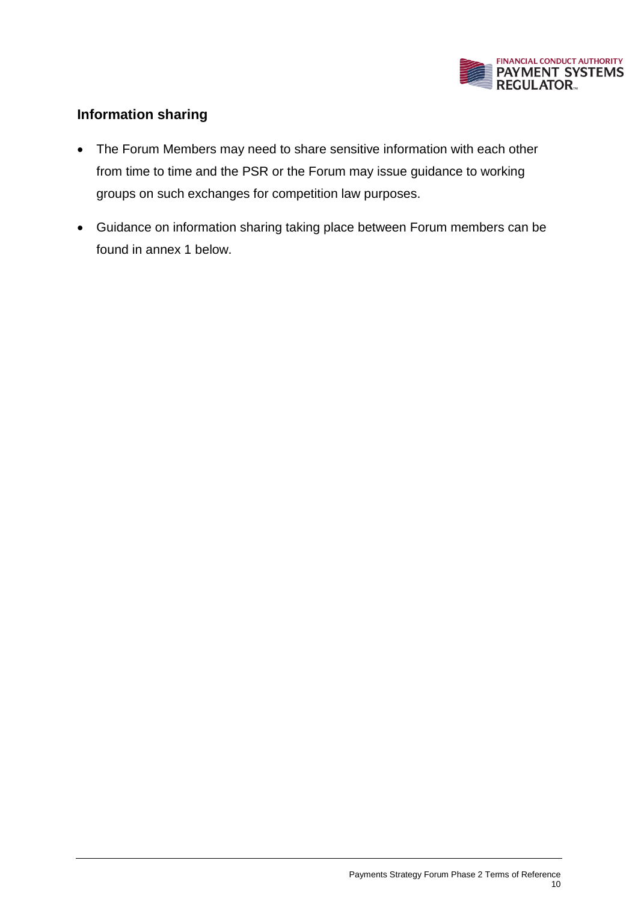

#### **Information sharing**

- The Forum Members may need to share sensitive information with each other from time to time and the PSR or the Forum may issue guidance to working groups on such exchanges for competition law purposes.
- Guidance on information sharing taking place between Forum members can be found in annex 1 below.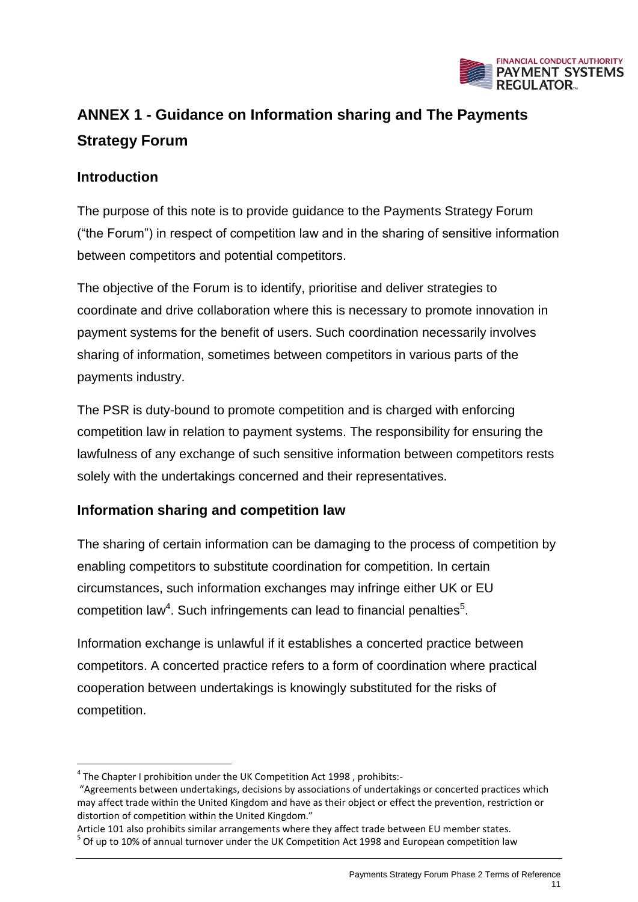

# **ANNEX 1 - Guidance on Information sharing and The Payments Strategy Forum**

#### **Introduction**

**.** 

The purpose of this note is to provide guidance to the Payments Strategy Forum ("the Forum") in respect of competition law and in the sharing of sensitive information between competitors and potential competitors.

The objective of the Forum is to identify, prioritise and deliver strategies to coordinate and drive collaboration where this is necessary to promote innovation in payment systems for the benefit of users. Such coordination necessarily involves sharing of information, sometimes between competitors in various parts of the payments industry.

The PSR is duty-bound to promote competition and is charged with enforcing competition law in relation to payment systems. The responsibility for ensuring the lawfulness of any exchange of such sensitive information between competitors rests solely with the undertakings concerned and their representatives.

#### **Information sharing and competition law**

The sharing of certain information can be damaging to the process of competition by enabling competitors to substitute coordination for competition. In certain circumstances, such information exchanges may infringe either UK or EU competition law<sup>4</sup>. Such infringements can lead to financial penalties<sup>5</sup>.

Information exchange is unlawful if it establishes a concerted practice between competitors. A concerted practice refers to a form of coordination where practical cooperation between undertakings is knowingly substituted for the risks of competition.

 $^4$  The Chapter I prohibition under the UK Competition Act 1998, prohibits:-

<sup>&</sup>quot;Agreements between undertakings, decisions by associations of undertakings or concerted practices which may affect trade within the United Kingdom and have as their object or effect the prevention, restriction or distortion of competition within the United Kingdom."

Article 101 also prohibits similar arrangements where they affect trade between EU member states. <sup>5</sup> Of up to 10% of annual turnover under the UK Competition Act 1998 and European competition law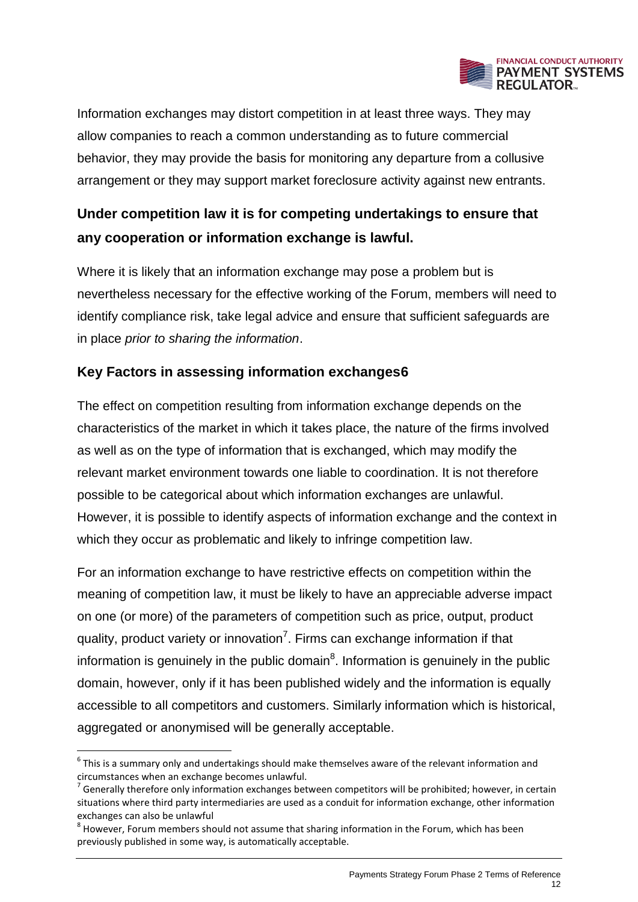

Information exchanges may distort competition in at least three ways. They may allow companies to reach a common understanding as to future commercial behavior, they may provide the basis for monitoring any departure from a collusive arrangement or they may support market foreclosure activity against new entrants.

# **Under competition law it is for competing undertakings to ensure that any cooperation or information exchange is lawful.**

Where it is likely that an information exchange may pose a problem but is nevertheless necessary for the effective working of the Forum, members will need to identify compliance risk, take legal advice and ensure that sufficient safeguards are in place *prior to sharing the information*.

### **Key Factors in assessing information exchanges6**

The effect on competition resulting from information exchange depends on the characteristics of the market in which it takes place, the nature of the firms involved as well as on the type of information that is exchanged, which may modify the relevant market environment towards one liable to coordination. It is not therefore possible to be categorical about which information exchanges are unlawful. However, it is possible to identify aspects of information exchange and the context in which they occur as problematic and likely to infringe competition law.

For an information exchange to have restrictive effects on competition within the meaning of competition law, it must be likely to have an appreciable adverse impact on one (or more) of the parameters of competition such as price, output, product quality, product variety or innovation<sup>7</sup>. Firms can exchange information if that information is genuinely in the public domain $<sup>8</sup>$ . Information is genuinely in the public</sup> domain, however, only if it has been published widely and the information is equally accessible to all competitors and customers. Similarly information which is historical, aggregated or anonymised will be generally acceptable.

1

 $<sup>6</sup>$  This is a summary only and undertakings should make themselves aware of the relevant information and</sup> circumstances when an exchange becomes unlawful.

 $^7$  Generally therefore only information exchanges between competitors will be prohibited; however, in certain situations where third party intermediaries are used as a conduit for information exchange, other information exchanges can also be unlawful

 $^8$  However, Forum members should not assume that sharing information in the Forum, which has been previously published in some way, is automatically acceptable.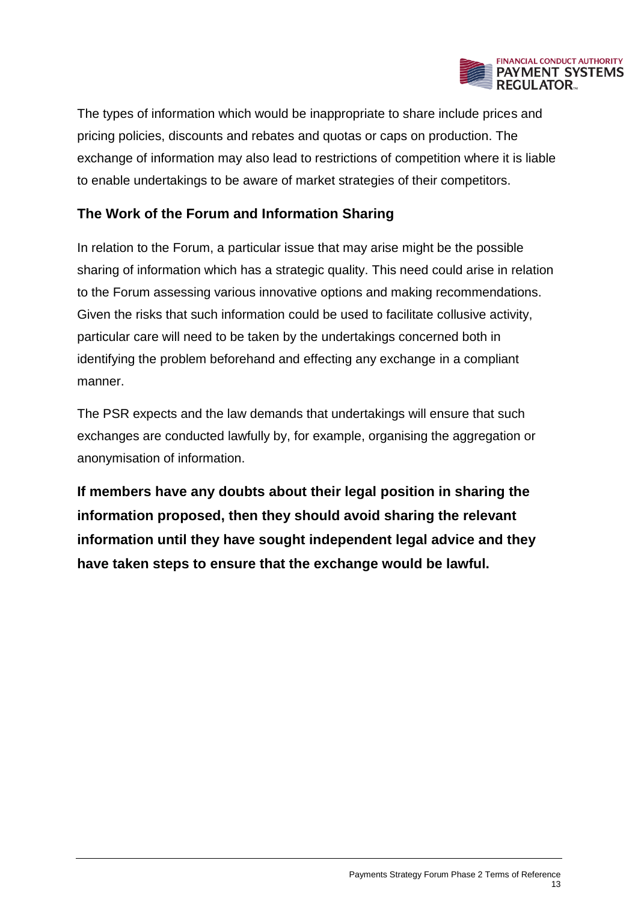

The types of information which would be inappropriate to share include prices and pricing policies, discounts and rebates and quotas or caps on production. The exchange of information may also lead to restrictions of competition where it is liable to enable undertakings to be aware of market strategies of their competitors.

#### **The Work of the Forum and Information Sharing**

In relation to the Forum, a particular issue that may arise might be the possible sharing of information which has a strategic quality. This need could arise in relation to the Forum assessing various innovative options and making recommendations. Given the risks that such information could be used to facilitate collusive activity, particular care will need to be taken by the undertakings concerned both in identifying the problem beforehand and effecting any exchange in a compliant manner.

The PSR expects and the law demands that undertakings will ensure that such exchanges are conducted lawfully by, for example, organising the aggregation or anonymisation of information.

**If members have any doubts about their legal position in sharing the information proposed, then they should avoid sharing the relevant information until they have sought independent legal advice and they have taken steps to ensure that the exchange would be lawful.**